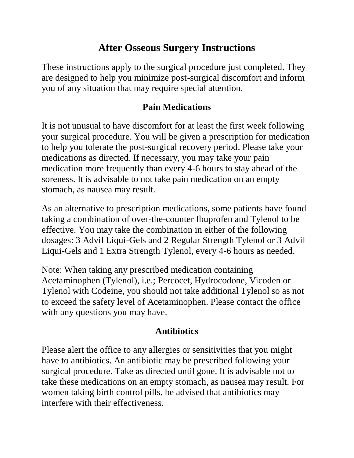# **After Osseous Surgery Instructions**

These instructions apply to the surgical procedure just completed. They are designed to help you minimize post-surgical discomfort and inform you of any situation that may require special attention.

## **Pain Medications**

It is not unusual to have discomfort for at least the first week following your surgical procedure. You will be given a prescription for medication to help you tolerate the post-surgical recovery period. Please take your medications as directed. If necessary, you may take your pain medication more frequently than every 4-6 hours to stay ahead of the soreness. It is advisable to not take pain medication on an empty stomach, as nausea may result.

As an alternative to prescription medications, some patients have found taking a combination of over-the-counter Ibuprofen and Tylenol to be effective. You may take the combination in either of the following dosages: 3 Advil Liqui-Gels and 2 Regular Strength Tylenol or 3 Advil Liqui-Gels and 1 Extra Strength Tylenol, every 4-6 hours as needed.

Note: When taking any prescribed medication containing Acetaminophen (Tylenol), i.e.; Percocet, Hydrocodone, Vicoden or Tylenol with Codeine, you should not take additional Tylenol so as not to exceed the safety level of Acetaminophen. Please contact the office with any questions you may have.

## **Antibiotics**

Please alert the office to any allergies or sensitivities that you might have to antibiotics. An antibiotic may be prescribed following your surgical procedure. Take as directed until gone. It is advisable not to take these medications on an empty stomach, as nausea may result. For women taking birth control pills, be advised that antibiotics may interfere with their effectiveness.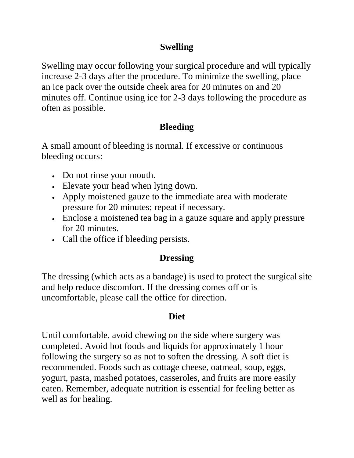## **Swelling**

Swelling may occur following your surgical procedure and will typically increase 2-3 days after the procedure. To minimize the swelling, place an ice pack over the outside cheek area for 20 minutes on and 20 minutes off. Continue using ice for 2-3 days following the procedure as often as possible.

## **Bleeding**

A small amount of bleeding is normal. If excessive or continuous bleeding occurs:

- Do not rinse your mouth.
- Elevate your head when lying down.
- Apply moistened gauze to the immediate area with moderate pressure for 20 minutes; repeat if necessary.
- Enclose a moistened tea bag in a gauze square and apply pressure for 20 minutes.
- Call the office if bleeding persists.

## **Dressing**

The dressing (which acts as a bandage) is used to protect the surgical site and help reduce discomfort. If the dressing comes off or is uncomfortable, please call the office for direction.

#### **Diet**

Until comfortable, avoid chewing on the side where surgery was completed. Avoid hot foods and liquids for approximately 1 hour following the surgery so as not to soften the dressing. A soft diet is recommended. Foods such as cottage cheese, oatmeal, soup, eggs, yogurt, pasta, mashed potatoes, casseroles, and fruits are more easily eaten. Remember, adequate nutrition is essential for feeling better as well as for healing.